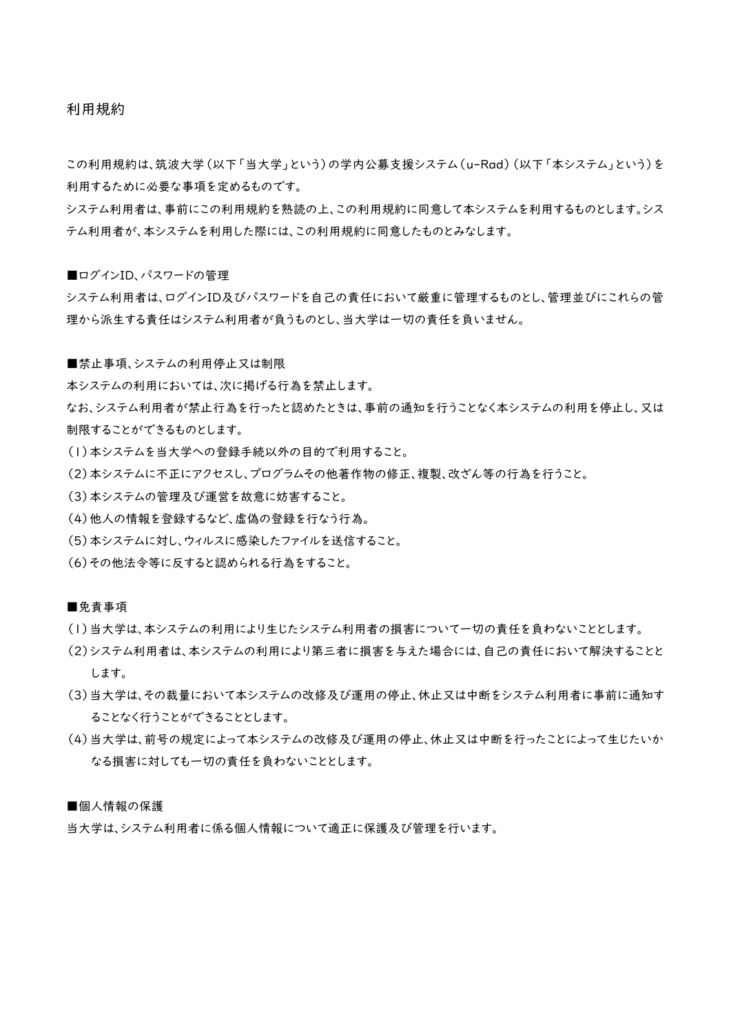利用規約

この利用規約は、筑波大学(以下「当大学」という)の学内公募支援システム(u-Rad)(以下「本システム」という)を 利用するために必要な事項を定めるものです。

システム利用者は、事前にこの利用規約を熟読の上、この利用規約に同意して本システムを利用するものとします。シス テム利用者が、本システムを利用した際には、この利用規約に同意したものとみなします。

■ログインID、パスワードの管理

システム利用者は、ログインID及びパスワードを自己の責任において厳重に管理するものとし、管理並びにこれらの管 理から派生する責任はシステム利用者が負うものとし、当大学は一切の責任を負いません。

■禁止事項、システムの利用停止又は制限

本システムの利用においては、次に掲げる行為を禁止します。

なお、システム利用者が禁止行為を行ったと認めたときは、事前の通知を行うことなく本システムの利用を停止し、又は 制限することができるものとします。

- (1)本システムを当大学への登録手続以外の目的で利用すること。
- (2)本システムに不正にアクセスし、プログラムその他著作物の修正、複製、改ざん等の行為を行うこと。
- (3)本システムの管理及び運営を故意に妨害すること。
- (4)他人の情報を登録するなど、虚偽の登録を行なう行為。
- (5)本システムに対し、ウィルスに感染したファイルを送信すること。
- (6)その他法令等に反すると認められる行為をすること。

### ■免責事項

- (1)当大学は、本システムの利用により生じたシステム利用者の損害について一切の責任を負わないこととします。
- (2)システム利用者は、本システムの利用により第三者に損害を与えた場合には、自己の責任において解決することと します。
- (3)当大学は、その裁量において本システムの改修及び運用の停止、休止又は中断をシステム利用者に事前に通知す ることなく行うことができることとします。
- (4)当大学は、前号の規定によって本システムの改修及び運用の停止、休止又は中断を行ったことによって生じたいか なる損害に対しても一切の責任を負わないこととします。

#### ■個人情報の保護

当大学は、システム利用者に係る個人情報について適正に保護及び管理を行います。